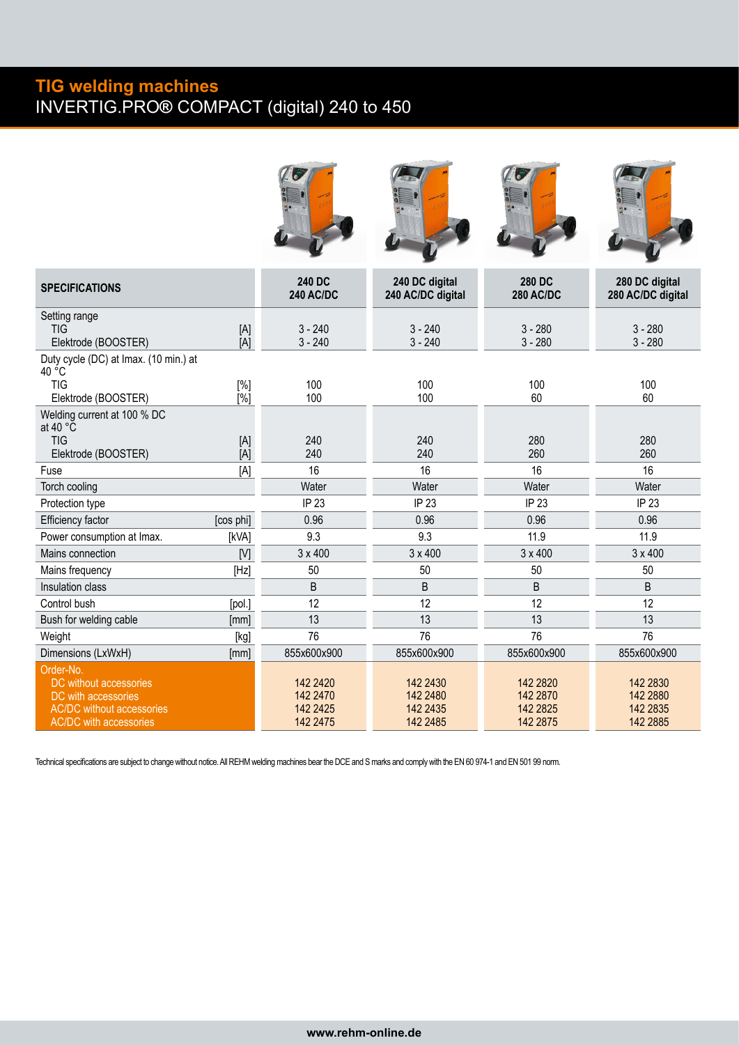## **TIG welding machines** INVERTIG.PRO**®** COMPACT (digital) 240 to 450

| <b>SPECIFICATIONS</b>                                                                                                           |                         | <b>240 DC</b><br><b>240 AC/DC</b>              | 240 DC digital<br>240 AC/DC digital          | 280 DC<br><b>280 AC/DC</b>                    | 280 DC digital<br>280 AC/DC digital          |
|---------------------------------------------------------------------------------------------------------------------------------|-------------------------|------------------------------------------------|----------------------------------------------|-----------------------------------------------|----------------------------------------------|
| Setting range<br>TIG<br>Elektrode (BOOSTER)                                                                                     | [A]<br>[A]              | $3 - 240$<br>$3 - 240$                         | $3 - 240$<br>$3 - 240$                       | $3 - 280$<br>$3 - 280$                        | $3 - 280$<br>$3 - 280$                       |
| Duty cycle (DC) at Imax. (10 min.) at<br>40 °C<br><b>TIG</b><br>Elektrode (BOOSTER)                                             | [%]<br>$\overline{[}\%$ | 100<br>100                                     | 100<br>100                                   | 100<br>60                                     | 100<br>60                                    |
| Welding current at 100 % DC<br>at 40 $\degree$ C<br><b>TIG</b><br>Elektrode (BOOSTER)                                           | [A]<br>[A]              | 240<br>240                                     | 240<br>240                                   | 280<br>260                                    | 280<br>260                                   |
| Fuse                                                                                                                            | [A]                     | 16                                             | 16                                           | 16                                            | 16                                           |
| Torch cooling                                                                                                                   |                         | Water                                          | Water                                        | Water                                         | Water                                        |
| Protection type                                                                                                                 |                         | IP 23                                          | IP 23                                        | IP 23                                         | IP 23                                        |
| Efficiency factor                                                                                                               | [cos phi]               | 0.96                                           | 0.96                                         | 0.96                                          | 0.96                                         |
| Power consumption at Imax.                                                                                                      | [kVA]                   | 9.3                                            | 9.3                                          | 11.9                                          | 11.9                                         |
| Mains connection                                                                                                                | [V]                     | $3 \times 400$                                 | $3 \times 400$                               | $3 \times 400$                                | $3 \times 400$                               |
| Mains frequency                                                                                                                 | [Hz]                    | 50                                             | 50                                           | 50                                            | 50                                           |
| Insulation class                                                                                                                |                         | B                                              | B                                            | B                                             | B                                            |
| Control bush                                                                                                                    | [pol.]                  | 12                                             | 12                                           | 12                                            | 12                                           |
| Bush for welding cable                                                                                                          | [mm]                    | 13                                             | 13                                           | 13                                            | 13                                           |
| Weight                                                                                                                          | [kg]                    | 76                                             | 76                                           | 76                                            | 76                                           |
| Dimensions (LxWxH)                                                                                                              | [mm]                    | 855x600x900                                    | 855x600x900                                  | 855x600x900                                   | 855x600x900                                  |
| Order-No.<br>DC without accessories<br>DC with accessories<br><b>AC/DC</b> without accessories<br><b>AC/DC</b> with accessories |                         | 142 24 20<br>142 2470<br>142 24 25<br>142 2475 | 142 2430<br>142 2480<br>142 2435<br>142 2485 | 142 28 20<br>142 2870<br>142 2825<br>142 2875 | 142 2830<br>142 2880<br>142 2835<br>142 2885 |

Technical specifications are subject to change without notice. All REHM welding machines bear the DCE and S marks and comply with the EN 60 974-1 and EN 501 99 norm.